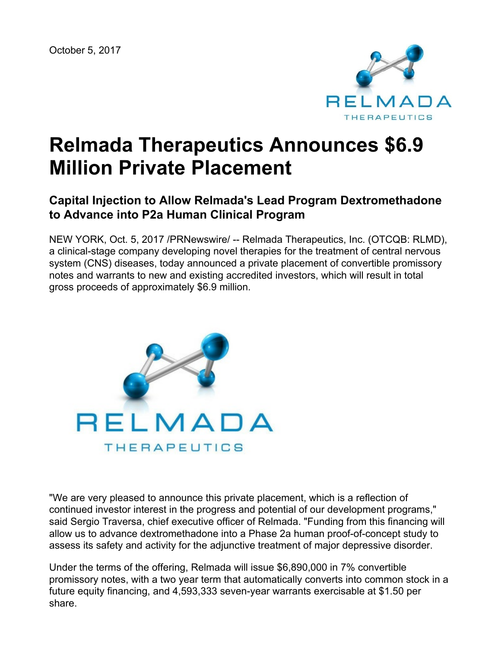October 5, 2017



# **Relmada Therapeutics Announces \$6.9 Million Private Placement**

# **Capital Injection to Allow Relmada's Lead Program Dextromethadone to Advance into P2a Human Clinical Program**

NEW YORK, Oct. 5, 2017 /PRNewswire/ -- Relmada Therapeutics, Inc. (OTCQB: RLMD), a clinical-stage company developing novel therapies for the treatment of central nervous system (CNS) diseases, today announced a private placement of convertible promissory notes and warrants to new and existing accredited investors, which will result in total gross proceeds of approximately \$6.9 million.



"We are very pleased to announce this private placement, which is a reflection of continued investor interest in the progress and potential of our development programs," said Sergio Traversa, chief executive officer of Relmada. "Funding from this financing will allow us to advance dextromethadone into a Phase 2a human proof-of-concept study to assess its safety and activity for the adjunctive treatment of major depressive disorder.

Under the terms of the offering, Relmada will issue \$6,890,000 in 7% convertible promissory notes, with a two year term that automatically converts into common stock in a future equity financing, and 4,593,333 seven-year warrants exercisable at \$1.50 per share.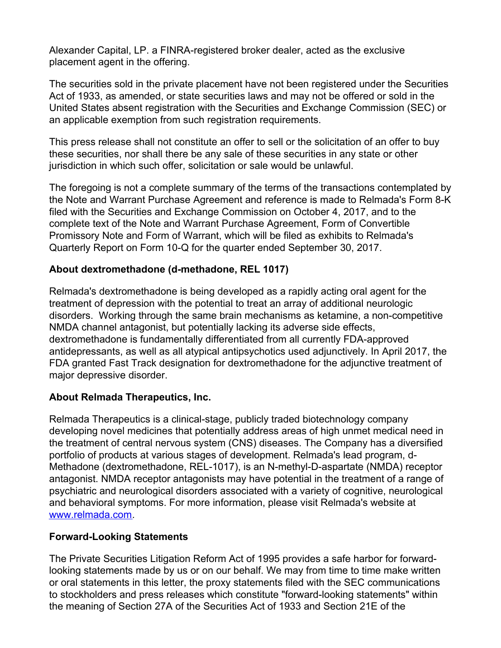Alexander Capital, LP. a FINRA-registered broker dealer, acted as the exclusive placement agent in the offering.

The securities sold in the private placement have not been registered under the Securities Act of 1933, as amended, or state securities laws and may not be offered or sold in the United States absent registration with the Securities and Exchange Commission (SEC) or an applicable exemption from such registration requirements.

This press release shall not constitute an offer to sell or the solicitation of an offer to buy these securities, nor shall there be any sale of these securities in any state or other jurisdiction in which such offer, solicitation or sale would be unlawful.

The foregoing is not a complete summary of the terms of the transactions contemplated by the Note and Warrant Purchase Agreement and reference is made to Relmada's Form 8-K filed with the Securities and Exchange Commission on October 4, 2017, and to the complete text of the Note and Warrant Purchase Agreement, Form of Convertible Promissory Note and Form of Warrant, which will be filed as exhibits to Relmada's Quarterly Report on Form 10-Q for the quarter ended September 30, 2017.

## **About dextromethadone (d-methadone, REL 1017)**

Relmada's dextromethadone is being developed as a rapidly acting oral agent for the treatment of depression with the potential to treat an array of additional neurologic disorders. Working through the same brain mechanisms as ketamine, a non-competitive NMDA channel antagonist, but potentially lacking its adverse side effects, dextromethadone is fundamentally differentiated from all currently FDA-approved antidepressants, as well as all atypical antipsychotics used adjunctively. In April 2017, the FDA granted Fast Track designation for dextromethadone for the adjunctive treatment of major depressive disorder.

#### **About Relmada Therapeutics, Inc.**

Relmada Therapeutics is a clinical-stage, publicly traded biotechnology company developing novel medicines that potentially address areas of high unmet medical need in the treatment of central nervous system (CNS) diseases. The Company has a diversified portfolio of products at various stages of development. Relmada's lead program, d-Methadone (dextromethadone, REL-1017), is an N-methyl-D-aspartate (NMDA) receptor antagonist. NMDA receptor antagonists may have potential in the treatment of a range of psychiatric and neurological disorders associated with a variety of cognitive, neurological and behavioral symptoms. For more information, please visit Relmada's website at [www.relmada.com](http://www.relmada.com/).

#### **Forward-Looking Statements**

The Private Securities Litigation Reform Act of 1995 provides a safe harbor for forwardlooking statements made by us or on our behalf. We may from time to time make written or oral statements in this letter, the proxy statements filed with the SEC communications to stockholders and press releases which constitute "forward-looking statements" within the meaning of Section 27A of the Securities Act of 1933 and Section 21E of the